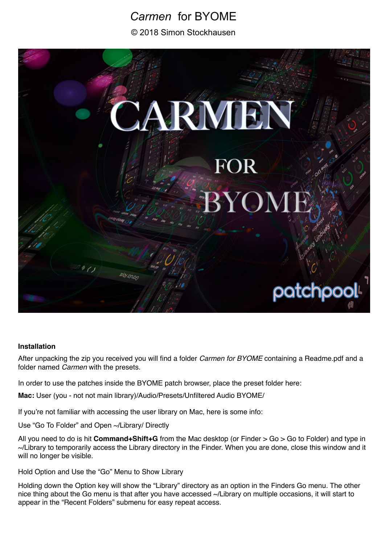# *Carmen* for BYOME © 2018 Simon Stockhausen



## **Installation**

After unpacking the zip you received you will find a folder *Carmen for BYOME* containing a Readme.pdf and a folder named *Carmen* with the presets.

In order to use the patches inside the BYOME patch browser, place the preset folder here:

**Mac:** User (you - not not main library)/Audio/Presets/Unfiltered Audio BYOME/

If you're not familiar with accessing the user library on Mac, here is some info:

Use "Go To Folder" and Open ~/Library/ Directly

All you need to do is hit **Command+Shift+G** from the Mac desktop (or Finder > Go > Go to Folder) and type in ~/Library to temporarily access the Library directory in the Finder. When you are done, close this window and it will no longer be visible.

Hold Option and Use the "Go" Menu to Show Library

Holding down the Option key will show the "Library" directory as an option in the Finders Go menu. The other nice thing about the Go menu is that after you have accessed ~/Library on multiple occasions, it will start to appear in the "Recent Folders" submenu for easy repeat access.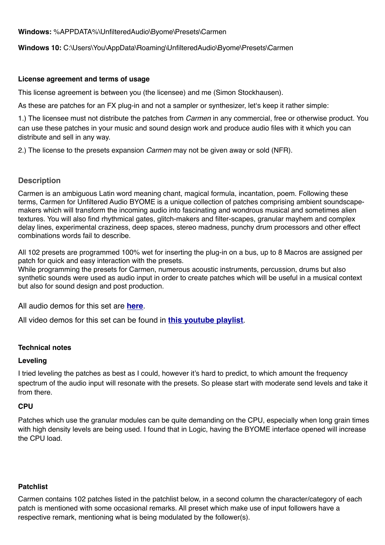## **Windows:** %APPDATA%\UnfilteredAudio\Byome\Presets\Carmen

## **Windows 10:** C:\Users\You\AppData\Roaming\UnfilteredAudio\Byome\Presets\Carmen

## **License agreement and terms of usage**

This license agreement is between you (the licensee) and me (Simon Stockhausen).

As these are patches for an FX plug-in and not a sampler or synthesizer, let's keep it rather simple:

1.) The licensee must not distribute the patches from *Carmen* in any commercial, free or otherwise product. You can use these patches in your music and sound design work and produce audio files with it which you can distribute and sell in any way.

2.) The license to the presets expansion *Carmen* may not be given away or sold (NFR).

## **Description**

Carmen is an ambiguous Latin word meaning chant, magical formula, incantation, poem. Following these terms, Carmen for [Unfiltered Audio BYOME](https://www.plugin-alliance.com/en/products/unfiltered_audio_byome.html) is a unique collection of patches comprising ambient soundscapemakers which will transform the incoming audio into fascinating and wondrous musical and sometimes alien textures. You will also find rhythmical gates, glitch-makers and filter-scapes, granular mayhem and complex delay lines, experimental craziness, deep spaces, stereo madness, punchy drum processors and other effect combinations words fail to describe.

All 102 presets are programmed 100% wet for inserting the plug-in on a bus, up to 8 Macros are assigned per patch for quick and easy interaction with the presets.

While programming the presets for Carmen, numerous acoustic instruments, percussion, drums but also synthetic sounds were used as audio input in order to create patches which will be useful in a musical context but also for sound design and post production.

All audio demos for this set are **[here](https://soundcloud.com/sampleconstruct/sets/byome-multi-fx-patchpool)**.

All video demos for this set can be found in **[this youtube playlist](https://www.youtube.com/watch?v=L6d2Iz2qYCY&list=PLdDy6n1e-aeN440UyVIQtwFWMAc8rJrbh)**.

## **Technical notes**

## **Leveling**

I tried leveling the patches as best as I could, however it's hard to predict, to which amount the frequency spectrum of the audio input will resonate with the presets. So please start with moderate send levels and take it from there.

## **CPU**

Patches which use the granular modules can be quite demanding on the CPU, especially when long grain times with high density levels are being used. I found that in Logic, having the BYOME interface opened will increase the CPU load.

## **Patchlist**

Carmen contains 102 patches listed in the patchlist below, in a second column the character/category of each patch is mentioned with some occasional remarks. All preset which make use of input followers have a respective remark, mentioning what is being modulated by the follower(s).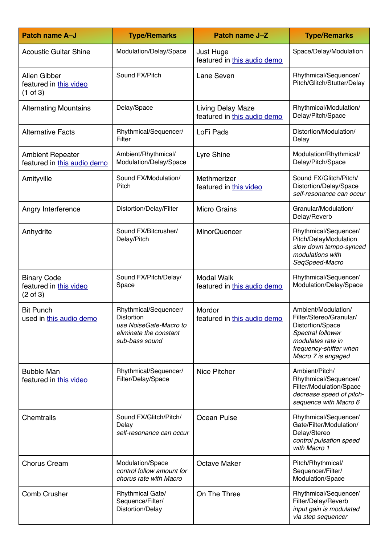| <b>Patch name A-J</b>                                         | <b>Type/Remarks</b>                                                                                       | <b>Patch name J-Z</b>                                   | <b>Type/Remarks</b>                                                                                                                                          |
|---------------------------------------------------------------|-----------------------------------------------------------------------------------------------------------|---------------------------------------------------------|--------------------------------------------------------------------------------------------------------------------------------------------------------------|
| <b>Acoustic Guitar Shine</b>                                  | Modulation/Delay/Space                                                                                    | Just Huge<br>featured in this audio demo                | Space/Delay/Modulation                                                                                                                                       |
| Alien Gibber<br>featured in this video<br>$(1 \text{ of } 3)$ | Sound FX/Pitch                                                                                            | Lane Seven                                              | Rhythmical/Sequencer/<br>Pitch/Glitch/Stutter/Delay                                                                                                          |
| <b>Alternating Mountains</b>                                  | Delay/Space                                                                                               | <b>Living Delay Maze</b><br>featured in this audio demo | Rhythmical/Modulation/<br>Delay/Pitch/Space                                                                                                                  |
| <b>Alternative Facts</b>                                      | Rhythmical/Sequencer/<br>Filter                                                                           | LoFi Pads                                               | Distortion/Modulation/<br>Delay                                                                                                                              |
| <b>Ambient Repeater</b><br>featured in this audio demo        | Ambient/Rhythmical/<br>Modulation/Delay/Space                                                             | Lyre Shine                                              | Modulation/Rhythmical/<br>Delay/Pitch/Space                                                                                                                  |
| Amityville                                                    | Sound FX/Modulation/<br>Pitch                                                                             | Methmerizer<br>featured in this video                   | Sound FX/Glitch/Pitch/<br>Distortion/Delay/Space<br>self-resonance can occur                                                                                 |
| Angry Interference                                            | Distortion/Delay/Filter                                                                                   | <b>Micro Grains</b>                                     | Granular/Modulation/<br>Delay/Reverb                                                                                                                         |
| Anhydrite                                                     | Sound FX/Bitcrusher/<br>Delay/Pitch                                                                       | <b>MinorQuencer</b>                                     | Rhythmical/Sequencer/<br>Pitch/DelayModulation<br>slow down tempo-synced<br>modulations with<br>SeqSpeed-Macro                                               |
| <b>Binary Code</b><br>featured in this video<br>(2 of 3)      | Sound FX/Pitch/Delay/<br>Space                                                                            | <b>Modal Walk</b><br>featured in this audio demo        | Rhythmical/Sequencer/<br>Modulation/Delay/Space                                                                                                              |
| <b>Bit Punch</b><br>used in this audio demo                   | Rhythmical/Sequencer/<br>Distortion<br>use NoiseGate-Macro to<br>eliminate the constant<br>sub-bass sound | Mordor<br>featured in this audio demo                   | Ambient/Modulation/<br>Filter/Stereo/Granular/<br>Distortion/Space<br>Spectral follower<br>modulates rate in<br>frequency-shifter when<br>Macro 7 is engaged |
| <b>Bubble Man</b><br>featured in this video                   | Rhythmical/Sequencer/<br>Filter/Delay/Space                                                               | <b>Nice Pitcher</b>                                     | Ambient/Pitch/<br>Rhythmical/Sequencer/<br>Filter/Modulation/Space<br>decrease speed of pitch-<br>sequence with Macro 6                                      |
| <b>Chemtrails</b>                                             | Sound FX/Glitch/Pitch/<br>Delay<br>self-resonance can occur                                               | Ocean Pulse                                             | Rhythmical/Sequencer/<br>Gate/Filter/Modulation/<br>Delay/Stereo<br>control pulsation speed<br>with Macro 1                                                  |
| <b>Chorus Cream</b>                                           | Modulation/Space<br>control follow amount for<br>chorus rate with Macro                                   | <b>Octave Maker</b>                                     | Pitch/Rhythmical/<br>Sequencer/Filter/<br>Modulation/Space                                                                                                   |
| <b>Comb Crusher</b>                                           | <b>Rhythmical Gate/</b><br>Sequence/Filter/<br>Distortion/Delay                                           | On The Three                                            | Rhythmical/Sequencer/<br>Filter/Delay/Reverb<br>input gain is modulated<br>via step sequencer                                                                |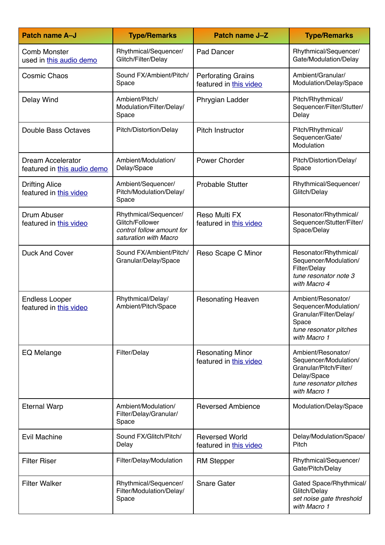| <b>Patch name A-J</b>                                   | <b>Type/Remarks</b>                                                                            | Patch name J-Z                                      | <b>Type/Remarks</b>                                                                                                            |
|---------------------------------------------------------|------------------------------------------------------------------------------------------------|-----------------------------------------------------|--------------------------------------------------------------------------------------------------------------------------------|
| <b>Comb Monster</b><br>used in this audio demo          | Rhythmical/Sequencer/<br>Glitch/Filter/Delay                                                   | Pad Dancer                                          | Rhythmical/Sequencer/<br>Gate/Modulation/Delay                                                                                 |
| <b>Cosmic Chaos</b>                                     | Sound FX/Ambient/Pitch/<br>Space                                                               | <b>Perforating Grains</b><br>featured in this video | Ambient/Granular/<br>Modulation/Delay/Space                                                                                    |
| Delay Wind                                              | Ambient/Pitch/<br>Modulation/Filter/Delay/<br>Space                                            | Phrygian Ladder                                     | Pitch/Rhythmical/<br>Sequencer/Filter/Stutter/<br>Delay                                                                        |
| Double Bass Octaves                                     | Pitch/Distortion/Delay                                                                         | Pitch Instructor                                    | Pitch/Rhythmical/<br>Sequencer/Gate/<br>Modulation                                                                             |
| <b>Dream Accelerator</b><br>featured in this audio demo | Ambient/Modulation/<br>Delay/Space                                                             | <b>Power Chorder</b>                                | Pitch/Distortion/Delay/<br>Space                                                                                               |
| <b>Drifting Alice</b><br>featured in this video         | Ambient/Sequencer/<br>Pitch/Modulation/Delay/<br>Space                                         | <b>Probable Stutter</b>                             | Rhythmical/Sequencer/<br>Glitch/Delay                                                                                          |
| Drum Abuser<br>featured in this video                   | Rhythmical/Sequencer/<br>Glitch/Follower<br>control follow amount for<br>saturation with Macro | <b>Reso Multi FX</b><br>featured in this video      | Resonator/Rhythmical/<br>Sequencer/Stutter/Filter/<br>Space/Delay                                                              |
| <b>Duck And Cover</b>                                   | Sound FX/Ambient/Pitch/<br>Granular/Delay/Space                                                | Reso Scape C Minor                                  | Resonator/Rhythmical/<br>Sequencer/Modulation/<br>Filter/Delay<br>tune resonator note 3<br>with Macro 4                        |
| <b>Endless Looper</b><br>featured in this video         | Rhythmical/Delay/<br>Ambient/Pitch/Space                                                       | <b>Resonating Heaven</b>                            | Ambient/Resonator/<br>Sequencer/Modulation/<br>Granular/Filter/Delay/<br>Space<br>tune resonator pitches<br>with Macro 1       |
| EQ Melange                                              | Filter/Delay                                                                                   | <b>Resonating Minor</b><br>featured in this video   | Ambient/Resonator/<br>Sequencer/Modulation/<br>Granular/Pitch/Filter/<br>Delay/Space<br>tune resonator pitches<br>with Macro 1 |
| <b>Eternal Warp</b>                                     | Ambient/Modulation/<br>Filter/Delay/Granular/<br>Space                                         | <b>Reversed Ambience</b>                            | Modulation/Delay/Space                                                                                                         |
| Evil Machine                                            | Sound FX/Glitch/Pitch/<br>Delay                                                                | <b>Reversed World</b><br>featured in this video     | Delay/Modulation/Space/<br>Pitch                                                                                               |
| <b>Filter Riser</b>                                     | Filter/Delay/Modulation                                                                        | <b>RM Stepper</b>                                   | Rhythmical/Sequencer/<br>Gate/Pitch/Delay                                                                                      |
| <b>Filter Walker</b>                                    | Rhythmical/Sequencer/<br>Filter/Modulation/Delay/<br>Space                                     | <b>Snare Gater</b>                                  | Gated Space/Rhythmical/<br>Glitch/Delay<br>set noise gate threshold<br>with Macro 1                                            |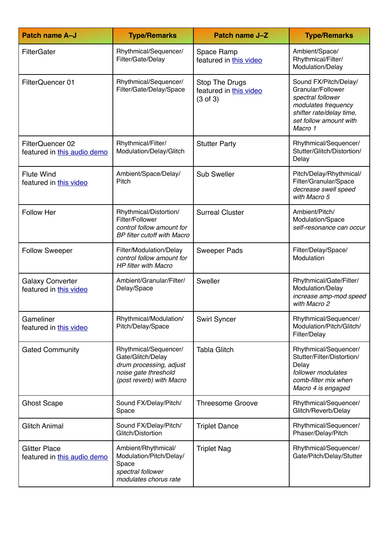| <b>Patch name A-J</b>                               | <b>Type/Remarks</b>                                                                                                       | <b>Patch name J-Z</b>                                                  | <b>Type/Remarks</b>                                                                                                                                     |
|-----------------------------------------------------|---------------------------------------------------------------------------------------------------------------------------|------------------------------------------------------------------------|---------------------------------------------------------------------------------------------------------------------------------------------------------|
| <b>FilterGater</b>                                  | Rhythmical/Sequencer/<br>Filter/Gate/Delay                                                                                | Space Ramp<br>featured in this video                                   | Ambient/Space/<br>Rhythmical/Filter/<br>Modulation/Delay                                                                                                |
| FilterQuencer 01                                    | Rhythmical/Sequencer/<br>Filter/Gate/Delay/Space                                                                          | <b>Stop The Drugs</b><br>featured in this video<br>$(3 \text{ of } 3)$ | Sound FX/Pitch/Delay/<br>Granular/Follower<br>spectral follower<br>modulates frequency<br>shifter rate/delay time,<br>set follow amount with<br>Macro 1 |
| FilterQuencer 02<br>featured in this audio demo     | Rhythmical/Filter/<br>Modulation/Delay/Glitch                                                                             | <b>Stutter Party</b>                                                   | Rhythmical/Sequencer/<br>Stutter/Glitch/Distortion/<br>Delay                                                                                            |
| <b>Flute Wind</b><br>featured in this video         | Ambient/Space/Delay/<br>Pitch                                                                                             | <b>Sub Sweller</b>                                                     | Pitch/Delay/Rhythmical/<br>Filter/Granular/Space<br>decrease swell speed<br>with Macro 5                                                                |
| <b>Follow Her</b>                                   | Rhythmical/Distortion/<br>Filter/Follower<br>control follow amount for<br><b>BP</b> filter cutoff with Macro              | <b>Surreal Cluster</b>                                                 | Ambient/Pitch/<br>Modulation/Space<br>self-resonance can occur                                                                                          |
| <b>Follow Sweeper</b>                               | Filter/Modulation/Delay<br>control follow amount for<br><b>HP</b> filter with Macro                                       | <b>Sweeper Pads</b>                                                    | Filter/Delay/Space/<br>Modulation                                                                                                                       |
| <b>Galaxy Converter</b><br>featured in this video   | Ambient/Granular/Filter/<br>Delay/Space                                                                                   | Sweller                                                                | Rhythmical/Gate/Filter/<br>Modulation/Delay<br>increase amp-mod speed<br>with Macro 2                                                                   |
| Gameliner<br>featured in this video                 | Rhythmical/Modulation/<br>Pitch/Delay/Space                                                                               | Swirl Syncer                                                           | Rhythmical/Sequencer/<br>Modulation/Pitch/Glitch/<br>Filter/Delay                                                                                       |
| <b>Gated Community</b>                              | Rhythmical/Sequencer/<br>Gate/Glitch/Delay<br>drum processing, adjust<br>noise gate threshold<br>(post reverb) with Macro | <b>Tabla Glitch</b>                                                    | Rhythmical/Sequencer/<br>Stutter/Filter/Distortion/<br>Delay<br>follower modulates<br>comb-filter mix when<br>Macro 4 is engaged                        |
| <b>Ghost Scape</b>                                  | Sound FX/Delay/Pitch/<br>Space                                                                                            | <b>Threesome Groove</b>                                                | Rhythmical/Sequencer/<br>Glitch/Reverb/Delay                                                                                                            |
| <b>Glitch Animal</b>                                | Sound FX/Delay/Pitch/<br>Glitch/Distortion                                                                                | <b>Triplet Dance</b>                                                   | Rhythmical/Sequencer/<br>Phaser/Delay/Pitch                                                                                                             |
| <b>Glitter Place</b><br>featured in this audio demo | Ambient/Rhythmical/<br>Modulation/Pitch/Delay/<br>Space<br>spectral follower<br>modulates chorus rate                     | <b>Triplet Nag</b>                                                     | Rhythmical/Sequencer/<br>Gate/Pitch/Delay/Stutter                                                                                                       |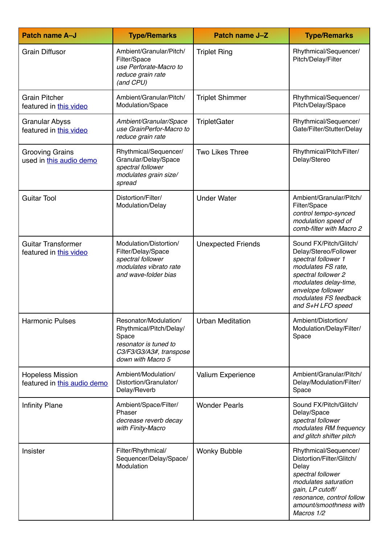| <b>Patch name A-J</b>                                  | <b>Type/Remarks</b>                                                                                                                | Patch name J-Z            | <b>Type/Remarks</b>                                                                                                                                                                                             |
|--------------------------------------------------------|------------------------------------------------------------------------------------------------------------------------------------|---------------------------|-----------------------------------------------------------------------------------------------------------------------------------------------------------------------------------------------------------------|
| <b>Grain Diffusor</b>                                  | Ambient/Granular/Pitch/<br>Filter/Space<br>use Perforate-Macro to<br>reduce grain rate<br>(and CPU)                                | <b>Triplet Ring</b>       | Rhythmical/Sequencer/<br>Pitch/Delay/Filter                                                                                                                                                                     |
| <b>Grain Pitcher</b><br>featured in this video         | Ambient/Granular/Pitch/<br>Modulation/Space                                                                                        | <b>Triplet Shimmer</b>    | Rhythmical/Sequencer/<br>Pitch/Delay/Space                                                                                                                                                                      |
| <b>Granular Abyss</b><br>featured in this video        | Ambient/Granular/Space<br>use GrainPerfor-Macro to<br>reduce grain rate                                                            | <b>TripletGater</b>       | Rhythmical/Sequencer/<br>Gate/Filter/Stutter/Delay                                                                                                                                                              |
| <b>Grooving Grains</b><br>used in this audio demo      | Rhythmical/Sequencer/<br>Granular/Delay/Space<br>spectral follower<br>modulates grain size/<br>spread                              | <b>Two Likes Three</b>    | Rhythmical/Pitch/Filter/<br>Delay/Stereo                                                                                                                                                                        |
| <b>Guitar Tool</b>                                     | Distortion/Filter/<br>Modulation/Delay                                                                                             | <b>Under Water</b>        | Ambient/Granular/Pitch/<br>Filter/Space<br>control tempo-synced<br>modulation speed of<br>comb-filter with Macro 2                                                                                              |
| <b>Guitar Transformer</b><br>featured in this video    | Modulation/Distortion/<br>Filter/Delay/Space<br>spectral follower<br>modulates vibrato rate<br>and wave-folder bias                | <b>Unexpected Friends</b> | Sound FX/Pitch/Glitch/<br>Delay/Stereo/Follower<br>spectral follower 1<br>modulates FS rate,<br>spectral follower 2<br>modulates delay-time,<br>envelope follower<br>modulates FS feedback<br>and S+H LFO speed |
| <b>Harmonic Pulses</b>                                 | Resonator/Modulation/<br>Rhythmical/Pitch/Delay/<br>Space<br>resonator is tuned to<br>C3/F3/G3/A3#, transpose<br>down with Macro 5 | <b>Urban Meditation</b>   | Ambient/Distortion/<br>Modulation/Delay/Filter/<br>Space                                                                                                                                                        |
| <b>Hopeless Mission</b><br>featured in this audio demo | Ambient/Modulation/<br>Distortion/Granulator/<br>Delay/Reverb                                                                      | Valium Experience         | Ambient/Granular/Pitch/<br>Delay/Modulation/Filter/<br>Space                                                                                                                                                    |
| <b>Infinity Plane</b>                                  | Ambient/Space/Filter/<br>Phaser<br>decrease reverb decay<br>with Finity-Macro                                                      | <b>Wonder Pearls</b>      | Sound FX/Pitch/Glitch/<br>Delay/Space<br>spectral follower<br>modulates RM frequency<br>and glitch shifter pitch                                                                                                |
| <b>Insister</b>                                        | Filter/Rhythmical/<br>Sequencer/Delay/Space/<br>Modulation                                                                         | <b>Wonky Bubble</b>       | Rhythmical/Sequencer/<br>Distortion/Filter/Glitch/<br>Delay<br>spectral follower<br>modulates saturation<br>gain, LP cutoff/<br>resonance, control follow<br>amount/smoothness with<br>Macros 1/2               |